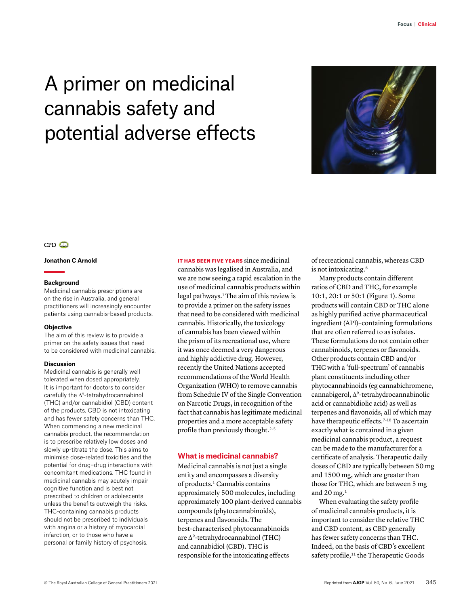# A primer on medicinal cannabis safety and potential adverse effects



## $CPD$

#### **Jonathon C Arnold**

### **Background**

Medicinal cannabis prescriptions are on the rise in Australia, and general practitioners will increasingly encounter patients using cannabis-based products.

#### **Objective**

The aim of this review is to provide a primer on the safety issues that need to be considered with medicinal cannabis.

#### **Discussion**

Medicinal cannabis is generally well tolerated when dosed appropriately. It is important for doctors to consider carefully the ∆9-tetrahydrocannabinol (THC) and/or cannabidiol (CBD) content of the products. CBD is not intoxicating and has fewer safety concerns than THC. When commencing a new medicinal cannabis product, the recommendation is to prescribe relatively low doses and slowly up-titrate the dose. This aims to minimise dose-related toxicities and the potential for drug–drug interactions with concomitant medications. THC found in medicinal cannabis may acutely impair cognitive function and is best not prescribed to children or adolescents unless the benefits outweigh the risks. THC-containing cannabis products should not be prescribed to individuals with angina or a history of myocardial infarction, or to those who have a personal or family history of psychosis.

IT HAS BEEN FIVE YEARS since medicinal cannabis was legalised in Australia, and we are now seeing a rapid escalation in the use of medicinal cannabis products within legal pathways.<sup>1</sup> The aim of this review is to provide a primer on the safety issues that need to be considered with medicinal cannabis. Historically, the toxicology of cannabis has been viewed within the prism of its recreational use, where it was once deemed a very dangerous and highly addictive drug. However, recently the United Nations accepted recommendations of the World Health Organization (WHO) to remove cannabis from Schedule IV of the Single Convention on Narcotic Drugs, in recognition of the fact that cannabis has legitimate medicinal properties and a more acceptable safety profile than previously thought.2–5

## **What is medicinal cannabis?**

Medicinal cannabis is not just a single entity and encompasses a diversity of products.1 Cannabis contains approximately 500 molecules, including approximately 100 plant-derived cannabis compounds (phytocannabinoids), terpenes and flavonoids. The best-characterised phytocannabinoids are ∆9-tetrahydrocannabinol (THC) and cannabidiol (CBD). THC is responsible for the intoxicating effects

of recreational cannabis, whereas CBD is not intoxicating.<sup>6</sup>

Many products contain different ratios of CBD and THC, for example 10:1, 20:1 or 50:1 (Figure 1). Some products will contain CBD or THC alone as highly purified active pharmaceutical ingredient (API)–containing formulations that are often referred to as isolates. These formulations do not contain other cannabinoids, terpenes or flavonoids. Other products contain CBD and/or THC with a 'full-spectrum' of cannabis plant constituents including other phytocannabinoids (eg cannabichromene, cannabigerol, ∆9-tetrahydrocannabinolic acid or cannabidiolic acid) as well as terpenes and flavonoids, all of which may have therapeutic effects.<sup>7-10</sup> To ascertain exactly what is contained in a given medicinal cannabis product, a request can be made to the manufacturer for a certificate of analysis. Therapeutic daily doses of CBD are typically between 50 mg and 1500 mg, which are greater than those for THC, which are between 5 mg and 20 mg. $<sup>1</sup>$ </sup>

When evaluating the safety profile of medicinal cannabis products, it is important to consider the relative THC and CBD content, as CBD generally has fewer safety concerns than THC. Indeed, on the basis of CBD's excellent safety profile,<sup>11</sup> the Therapeutic Goods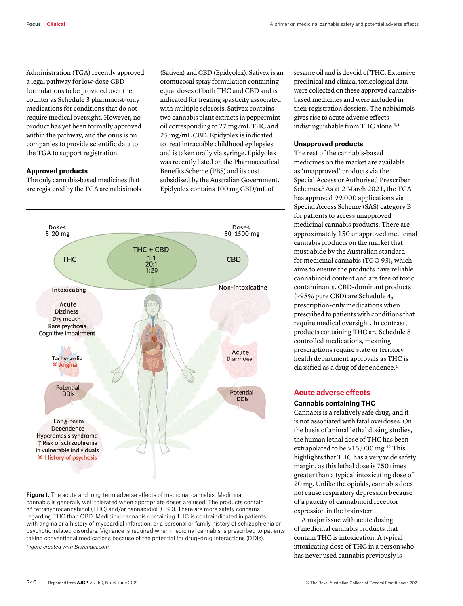Administration (TGA) recently approved a legal pathway for low-dose CBD formulations to be provided over the counter as Schedule 3 pharmacist-only medications for conditions that do not require medical oversight. However, no product has yet been formally approved within the pathway, and the onus is on companies to provide scientific data to the TGA to support registration.

## **Approved products**

The only cannabis-based medicines that are registered by the TGA are nabiximols

(Sativex) and CBD (Epidyolex). Sativex is an oromucosal spray formulation containing equal doses of both THC and CBD and is indicated for treating spasticity associated with multiple sclerosis. Sativex contains two cannabis plant extracts in peppermint oil corresponding to 27 mg/mL THC and 25 mg/mL CBD. Epidyolex is indicated to treat intractable childhood epilepsies and is taken orally via syringe. Epidyolex was recently listed on the Pharmaceutical Benefits Scheme (PBS) and its cost subsidised by the Australian Government. Epidyolex contains 100 mg CBD/mL of



**Figure 1.** The acute and long-term adverse effects of medicinal cannabis. Medicinal cannabis is generally well tolerated when appropriate doses are used. The products contain ∆9-tetrahydrocannabinol (THC) and/or cannabidiol (CBD). There are more safety concerns regarding THC than CBD. Medicinal cannabis containing THC is contraindicated in patients with angina or a history of myocardial infarction, or a personal or family history of schizophrenia or psychotic-related disorders. Vigilance is required when medicinal cannabis is prescribed to patients taking conventional medications because of the potential for drug–drug interactions (DDIs). *Figure created with Biorender.com*

sesame oil and is devoid of THC. Extensive preclinical and clinical toxicological data were collected on these approved cannabisbased medicines and were included in their registration dossiers. The nabiximols gives rise to acute adverse effects indistinguishable from THC alone.3,4

## **Unapproved products**

The rest of the cannabis-based medicines on the market are available as 'unapproved' products via the Special Access or Authorised Prescriber Schemes.<sup>1</sup> As at 2 March 2021, the TGA has approved 99,000 applications via Special Access Scheme (SAS) category B for patients to access unapproved medicinal cannabis products. There are approximately 150 unapproved medicinal cannabis products on the market that must abide by the Australian standard for medicinal cannabis (TGO 93), which aims to ensure the products have reliable cannabinoid content and are free of toxic contaminants. CBD-dominant products (≥98% pure CBD) are Schedule 4, prescription-only medications when prescribed to patients with conditions that require medical oversight. In contrast, products containing THC are Schedule 8 controlled medications, meaning prescriptions require state or territory health department approvals as THC is classified as a drug of dependence.<sup>1</sup>

## **Acute adverse effects**

## **Cannabis containing THC**

Cannabis is a relatively safe drug, and it is not associated with fatal overdoses. On the basis of animal lethal dosing studies, the human lethal dose of THC has been extrapolated to be  $>15,000$  mg.<sup>12</sup> This highlights that THC has a very wide safety margin, as this lethal dose is 750 times greater than a typical intoxicating dose of 20 mg. Unlike the opioids, cannabis does not cause respiratory depression because of a paucity of cannabinoid receptor expression in the brainstem.

A major issue with acute dosing of medicinal cannabis products that contain THC is intoxication. A typical intoxicating dose of THC in a person who has never used cannabis previously is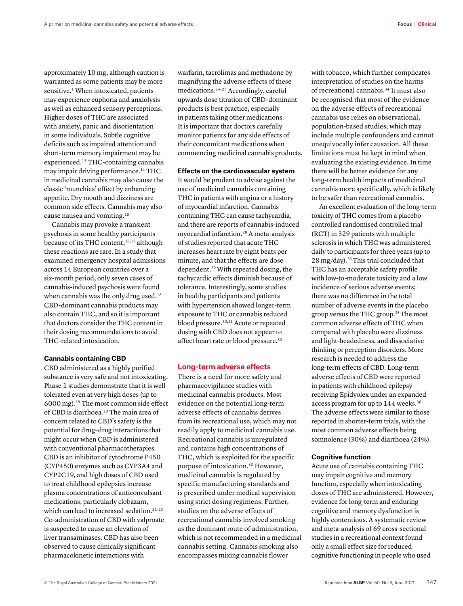approximately 10 mg, although caution is warranted as some patients may be more sensitive.<sup>1</sup> When intoxicated, patients may experience euphoria and anxiolysis as well as enhanced sensory perceptions. Higher doses of THC are associated with anxiety, panic and disorientation in some individuals. Subtle cognitive deficits such as impaired attention and short-term memory impairment may be experienced.13 THC-containing cannabis may impair driving performance.14 THC in medicinal cannabis may also cause the classic 'munchies' effect by enhancing appetite. Dry mouth and dizziness are common side effects. Cannabis may also cause nausea and vomiting.15

Cannabis may provoke a transient psychosis in some healthy participants because of its THC content,<sup>16,17</sup> although these reactions are rare. In a study that examined emergency hospital admissions across 14 European countries over a six-month period, only seven cases of cannabis-induced psychosis were found when cannabis was the only drug used.<sup>18</sup> CBD-dominant cannabis products may also contain THC, and so it is important that doctors consider the THC content in their dosing recommendations to avoid THC-related intoxication.

## **Cannabis containing CBD**

CBD administered as a highly purified substance is very safe and not intoxicating. Phase 1 studies demonstrate that it is well tolerated even at very high doses (up to 6000 mg).19 The most common side effect of CBD is diarrhoea.20 The main area of concern related to CBD's safety is the potential for drug–drug interactions that might occur when CBD is administered with conventional pharmacotherapies. CBD is an inhibitor of cytochrome P450 (CYP450) enzymes such as CYP3A4 and CYP2C19, and high doses of CBD used to treat childhood epilepsies increase plasma concentrations of anticonvulsant medications, particularly clobazam, which can lead to increased sedation.<sup>21-23</sup> Co-administration of CBD with valproate is suspected to cause an elevation of liver transaminases. CBD has also been observed to cause clinically significant pharmacokinetic interactions with

warfarin, tacrolimas and methadone by magnifying the adverse effects of these medications.24–27 Accordingly, careful upwards dose titration of CBD-dominant products is best practice, especially in patients taking other medications. It is important that doctors carefully monitor patients for any side effects of their concomitant medications when commencing medicinal cannabis products.

**Effects on the cardiovascular system** 

It would be prudent to advise against the use of medicinal cannabis containing THC in patients with angina or a history of myocardial infarction. Cannabis containing THC can cause tachycardia, and there are reports of cannabis-induced myocardial infarction.28 A meta-analysis of studies reported that acute THC increases heart rate by eight beats per minute, and that the effects are dose dependent.29 With repeated dosing, the tachycardic effects diminish because of tolerance. Interestingly, some studies in healthy participants and patients with hypertension showed longer-term exposure to THC or cannabis reduced blood pressure.30,31 Acute or repeated dosing with CBD does not appear to affect heart rate or blood pressure.<sup>32</sup>

## **Long-term adverse effects**

There is a need for more safety and pharmacovigilance studies with medicinal cannabis products. Most evidence on the potential long-term adverse effects of cannabis derives from its recreational use, which may not readily apply to medicinal cannabis use. Recreational cannabis is unregulated and contains high concentrations of THC, which is exploited for the specific purpose of intoxication.<sup>33</sup> However, medicinal cannabis is regulated by specific manufacturing standards and is prescribed under medical supervision using strict dosing regimens. Further, studies on the adverse effects of recreational cannabis involved smoking as the dominant route of administration, which is not recommended in a medicinal cannabis setting. Cannabis smoking also encompasses mixing cannabis flower

with tobacco, which further complicates interpretation of studies on the harms of recreational cannabis.34 It must also be recognised that most of the evidence on the adverse effects of recreational cannabis use relies on observational, population-based studies, which may include multiple confounders and cannot unequivocally infer causation. All these limitations must be kept in mind when evaluating the existing evidence. In time there will be better evidence for any long-term health impacts of medicinal cannabis more specifically, which is likely to be safer than recreational cannabis.

An excellent evaluation of the long-term toxicity of THC comes from a placebocontrolled randomised controlled trial (RCT) in 329 patients with multiple sclerosis in which THC was administered daily to participants for three years (up to 28 mg/day).35 This trial concluded that THC has an acceptable safety profile with low-to-moderate toxicity and a low incidence of serious adverse events; there was no difference in the total number of adverse events in the placebo group versus the THC group.35 The most common adverse effects of THC when compared with placebo were dizziness and light-headedness, and dissociative thinking or perception disorders. More research is needed to address the long-term effects of CBD. Long-term adverse effects of CBD were reported in patients with childhood epilepsy receiving Epidyolex under an expanded access program for up to 144 weeks.36 The adverse effects were similar to those reported in shorter-term trials, with the most common adverse effects being somnolence (30%) and diarrhoea (24%).

## **Cognitive function**

Acute use of cannabis containing THC may impair cognitive and memory function, especially when intoxicating doses of THC are administered. However, evidence for long-term and enduring cognitive and memory dysfunction is highly contentious. A systematic review and meta-analysis of 69 cross-sectional studies in a recreational context found only a small effect size for reduced cognitive functioning in people who used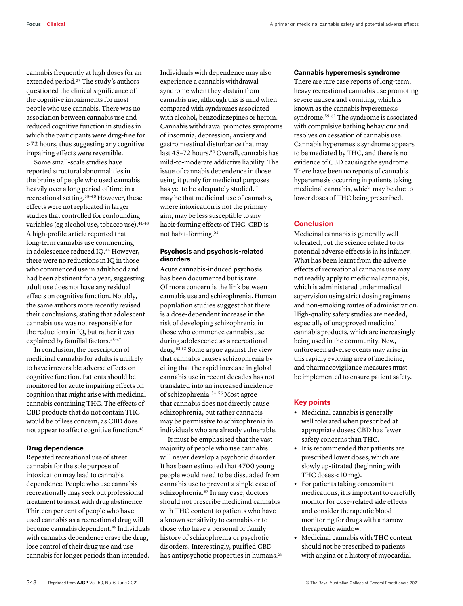cannabis frequently at high doses for an extended period*.* <sup>37</sup> The study's authors questioned the clinical significance of the cognitive impairments for most people who use cannabis. There was no association between cannabis use and reduced cognitive function in studies in which the participants were drug-free for >72 hours, thus suggesting any cognitive impairing effects were reversible.

Some small-scale studies have reported structural abnormalities in the brains of people who used cannabis heavily over a long period of time in a recreational setting.38–40 However, these effects were not replicated in larger studies that controlled for confounding variables (eg alcohol use, tobacco use).  $41-43$ A high-profile article reported that long-term cannabis use commencing in adolescence reduced IQ.<sup>44</sup> However, there were no reductions in IQ in those who commenced use in adulthood and had been abstinent for a year, suggesting adult use does not have any residual effects on cognitive function. Notably, the same authors more recently revised their conclusions, stating that adolescent cannabis use was not responsible for the reductions in IQ, but rather it was explained by familial factors.<sup>45-47</sup>

In conclusion, the prescription of medicinal cannabis for adults is unlikely to have irreversible adverse effects on cognitive function. Patients should be monitored for acute impairing effects on cognition that might arise with medicinal cannabis containing THC. The effects of CBD products that do not contain THC would be of less concern, as CBD does not appear to affect cognitive function.48

### **Drug dependence**

Repeated recreational use of street cannabis for the sole purpose of intoxication may lead to cannabis dependence. People who use cannabis recreationally may seek out professional treatment to assist with drug abstinence. Thirteen per cent of people who have used cannabis as a recreational drug will become cannabis dependent.<sup>49</sup> Individuals with cannabis dependence crave the drug, lose control of their drug use and use cannabis for longer periods than intended.

Individuals with dependence may also experience a cannabis withdrawal syndrome when they abstain from cannabis use, although this is mild when compared with syndromes associated with alcohol, benzodiazepines or heroin. Cannabis withdrawal promotes symptoms of insomnia, depression, anxiety and gastrointestinal disturbance that may last 48-72 hours.<sup>50</sup> Overall, cannabis has mild-to-moderate addictive liability. The issue of cannabis dependence in those using it purely for medicinal purposes has yet to be adequately studied. It may be that medicinal use of cannabis, where intoxication is not the primary aim, may be less susceptible to any habit-forming effects of THC. CBD is not habit-forming.51

## **Psychosis and psychosis-related disorders**

Acute cannabis-induced psychosis has been documented but is rare. Of more concern is the link between cannabis use and schizophrenia. Human population studies suggest that there is a dose-dependent increase in the risk of developing schizophrenia in those who commence cannabis use during adolescence as a recreational drug*.* 52,53 Some argue against the view that cannabis causes schizophrenia by citing that the rapid increase in global cannabis use in recent decades has not translated into an increased incidence of schizophrenia*.* 54–56 Most agree that cannabis does not directly cause schizophrenia, but rather cannabis may be permissive to schizophrenia in individuals who are already vulnerable.

It must be emphasised that the vast majority of people who use cannabis will never develop a psychotic disorder*.*  It has been estimated that 4700 young people would need to be dissuaded from cannabis use to prevent a single case of schizophrenia.57 In any case, doctors should not prescribe medicinal cannabis with THC content to patients who have a known sensitivity to cannabis or to those who have a personal or family history of schizophrenia or psychotic disorders. Interestingly, purified CBD has antipsychotic properties in humans.<sup>58</sup>

## **Cannabis hyperemesis syndrome**

There are rare case reports of long-term, heavy recreational cannabis use promoting severe nausea and vomiting, which is known as the cannabis hyperemesis syndrome.59–61 The syndrome is associated with compulsive bathing behaviour and resolves on cessation of cannabis use. Cannabis hyperemesis syndrome appears to be mediated by THC, and there is no evidence of CBD causing the syndrome. There have been no reports of cannabis hyperemesis occurring in patients taking medicinal cannabis, which may be due to lower doses of THC being prescribed.

## **Conclusion**

Medicinal cannabis is generally well tolerated, but the science related to its potential adverse effects is in its infancy. What has been learnt from the adverse effects of recreational cannabis use may not readily apply to medicinal cannabis, which is administered under medical supervision using strict dosing regimens and non-smoking routes of administration. High-quality safety studies are needed, especially of unapproved medicinal cannabis products, which are increasingly being used in the community. New, unforeseen adverse events may arise in this rapidly evolving area of medicine, and pharmacovigilance measures must be implemented to ensure patient safety.

## **Key points**

- **•** Medicinal cannabis is generally well tolerated when prescribed at appropriate doses; CBD has fewer safety concerns than THC.
- **•** It is recommended that patients are prescribed lower doses, which are slowly up-titrated (beginning with THC doses <10 mg).
- **•** For patients taking concomitant medications, it is important to carefully monitor for dose-related side effects and consider therapeutic blood monitoring for drugs with a narrow therapeutic window.
- **•** Medicinal cannabis with THC content should not be prescribed to patients with angina or a history of myocardial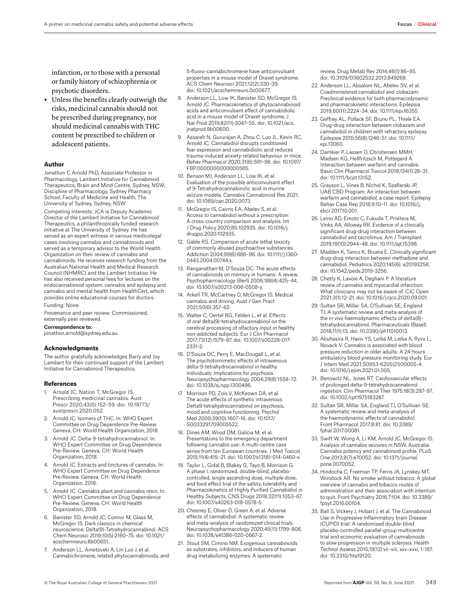**•** Unless the benefits clearly outweigh the risks, medicinal cannabis should not be prescribed during pregnancy, nor should medicinal cannabis with THC content be prescribed to children or adolescent patients.

#### **Author**

Jonathon C Arnold PhD, Associate Professor in Pharmacology, Lambert Initiative for Cannabinoid Therapeutics, Brain and Mind Centre, Sydney, NSW; Discipline of Pharmacology, Sydney Pharmacy School, Faculty of Medicine and Health, The University of Sydney, Sydney, NSW Competing interests: JCA is Deputy Academic Director of the Lambert Initiative for Cannabinoid Therapeutics, a philanthropically funded research initiative at The University of Sydney. He has served as an expert witness in various medicolegal cases involving cannabis and cannabinoids and served as a temporary advisor to the World Health Organization on their review of cannabis and cannabinoids. He receives research funding from the Australian National Health and Medical Research Council (NHMRC) and the Lambert Initiative. He has also received personal fees for lectures on the endocannabinoid system, cannabis and epilepsy and cannabis and mental health from HealthCert, which provides online educational courses for doctors. Funding: None.

Provenance and peer review: Commissioned, externally peer reviewed.

## Correspondence to:

[jonathon.arnold@sydney.edu.au](mailto:jonathon.arnold@sydney.edu.au)

#### **Acknowledgments**

The author gratefully acknowledges Barry and Joy Lambert for their continued support of the Lambert Initiative for Cannabinoid Therapeutics.

#### **References**

- 1. Arnold JC, Nation T, McGregor IS. Prescribing medicinal cannabis. Aust Prescr 2020;43(5):152–59. doi: 10.18773/ austprescr.2020.052.
- 2. Arnold JC. Isomers of THC. In: WHO Expert Committee on Drug Dependence Pre-Review. Geneva, CH: World Health Organization, 2018.
- Arnold JC. Delta-9-tetrahydrocannabinol. In: WHO Expert Committee on Drug Dependence Pre-Review. Geneva, CH: World Health Organization, 2018.
- Arnold JC. Extracts and tinctures of cannabis. In: WHO Expert Committee on Drug Dependence Pre-Review. Geneva, CH: World Health Organization, 2018.
- 5. Arnold JC. Cannabis plant and cannabis resin. In: WHO Expert Committee on Drug Dependence Pre-Review. Geneva, CH: World Health Organization, 2018.
- 6. Banister SD, Arnold JC, Connor M, Glass M, McGregor IS. Dark classics in chemical neuroscience: Delta(9)-Tetrahydrocannabinol. ACS Chem Neurosci 2019;10(5):2160–75. doi: 10.1021/ acschemneuro.8b00651.
- 7. Anderson LL, Ametovski A, Lin Luo J, et al. Cannabichromene, related phytocannabinoids, and

5-fluoro-cannabichromene have anticonvulsant properties in a mouse model of Dravet syndrome. ACS Chem Neurosci 2021;12(2):330–39. doi: 10.1021/acschemneuro.0c00677.

- 8. Anderson LL, Low IK, Banister SD, McGregor IS, Arnold JC. Pharmacokinetics of phytocannabinoid acids and anticonvulsant effect of cannabidiolic acid in a mouse model of Dravet syndrome. J Nat Prod 2019;82(11):3047–55. doi: 10.1021/acs. jnatprod.9b00600.
- Assareh N, Gururajan A, Zhou C, Luo JL, Kevin RC, Arnold JC. Cannabidiol disrupts conditioned fear expression and cannabidiolic acid reduces trauma-induced anxiety-related behaviour in mice. Behav Pharmacol 2020;31(6):591–96. doi: 10.1097/ FBP.0000000000000565.
- 10. Benson MJ, Anderson LL, Low IK, et al. Evaluation of the possible anticonvulsant effect of 9-Tetrahydrocannabinolic acid in murine seizure models. Cannabis Cannabinoid Res 2021. doi: 10.1089/can.2020.0073.
- 11. McGregor IS, Cairns EA, Abelev S, et al. Access to cannabidiol without a prescription: A cross-country comparison and analysis. Int J Drug Policy 2020;85:102935. doi: 10.1016/j. drugpo.2020.102935.
- 12. Gable RS. Comparison of acute lethal toxicity of commonly abused psychoactive substances. Addiction 2004;99(6):686–96. doi: 10.1111/j.1360- 0443.2004.00744.x.
- 13. Ranganathan M, D'Souza DC. The acute effects of cannabinoids on memory in humans: A review. Psychopharmacology (Berl) 2006;188(4):425–44. doi: 10.1007/s00213-006-0508-y.
- 14. Arkell TR, McCartney D, McGregor IS. Medical cannabis and driving. Aust J Gen Pract 2021;50(6):357–62.
- 15. Walter C, Oertel BG, Felden L, et al. Effects of oral delta(9)-tetrahydrocannabinol on the cerebral processing of olfactory input in healthy non-addicted subjects. Eur J Clin Pharmacol 2017;73(12):1579–87. doi: 10.1007/s00228-017- 2331-2.
- 16. D'Souza DC, Perry E, MacDougall L, et al. The psychotomimetic effects of intravenous delta-9-tetrahydrocannabinol in healthy individuals: Implications for psychosis. Neuropsychopharmacology 2004;29(8):1558–72. doi: 10.1038/sj.npp.1300496.
- 17. Morrison PD, Zois V, McKeown DA, et al. The acute effects of synthetic intravenous Delta9-tetrahydrocannabinol on psychosis, mood and cognitive functioning. Psychol Med 2009;39(10):1607–16. doi: 10.1017/ S0033291709005522.
- 18. Dines AM, Wood DM, Galicia M, et al. Presentations to the emergency department following cannabis use: A multi-centre case series from ten European countries. J Med Toxicol 2015;11(4):415–21. doi: 10.1007/s13181-014-0460-x.
- 19. Taylor L, Gidal B, Blakey G, Tayo B, Morrison G. A phase I, randomized, double-blind, placebocontrolled, single ascending dose, multiple dose, and food effect trial of the safety, tolerability and Pharmacokinetics of Highly Purified Cannabidiol in Healthy Subjects. CNS Drugs 2018;32(11):1053–67. doi: 10.1007/s40263-018-0578-5.
- 20. Chesney E, Oliver D, Green A, et al. Adverse effects of cannabidiol: A systematic review and meta-analysis of randomized clinical trials. Neuropsychopharmacology 2020;45(11):1799–806. doi: 10.1038/s41386-020-0667-2.
- 21. Stout SM, Cimino NM. Exogenous cannabinoids as substrates, inhibitors, and inducers of human drug metabolizing enzymes: A systematic

review. Drug Metab Rev 2014;46(1):86–95. doi: 10.3109/03602532.2013.849268.

- 22. Anderson LL, Absalom NL, Abeley SV, et al. Coadministered cannabidiol and clobazam: Preclinical evidence for both pharmacodynamic and pharmacokinetic interactions. Epilepsia 2019;60(11):2224–34. doi: 10.1111/epi.16355.
- 23. Geffrey AL, Pollack SF, Bruno PL, Thiele EA. Drug-drug interaction between clobazam and cannabidiol in children with refractory epilepsy. Epilepsia 2015;56(8):1246–51. doi: 10.1111/ epi.13060.
- 24. Damkier P, Lassen D, Christensen MMH, Madsen KG, Hellfritzsch M, Pottegard A. Interaction between warfarin and cannabis. Basic Clin Pharmacol Toxicol 2019;124(1):28–31. doi: 10.1111/bcpt.13152.
- 25. Grayson L, Vines B, Nichol K, Szaflarski JP, UAB CBD Program. An interaction between warfarin and cannabidiol, a case report. Epilepsy Behav Case Rep 2018;9:10–11. doi: 10.1016/j. ebcr.2017.10.001.
- 26. Leino AD, Emoto C, Fukuda T, Privitera M, Vinks AA, Alloway RR. Evidence of a clinically significant drug-drug interaction between cannabidiol and tacrolimus. Am J Transplant 2019;19(10):2944–48. doi: 10.1111/ajt.15398.
- 27. Madden K, Tanco K, Bruera E. Clinically significant drug-drug interaction between methadone and cannabidiol. Pediatrics 2020;145(6): e20193256. doi: 10.1542/peds.2019-3256.
- 28. Chetty K, Lavoie A, Deghani P. A literature review of cannabis and myocardial infarction: What clinicians may not be aware of. CJC Open 2021;3(1):12–21. doi: 10.1016/j.cjco.2020.09.001.
- 29. Sultan SR, Millar SA, O'Sullivan SE, England TJ. A systematic review and meta-analysis of the in vivo haemodynamic effects of delta(8) tetrahydrocannabinol. Pharmaceuticals (Basel) 2018;11(1):13. doi: 10.3390/ph11010013.
- 30. Abuhasira R, Haviv YS, Leiba M, Leiba A, Ryvo L, Novack V. Cannabis is associated with blood pressure reduction in older adults: A 24-hours ambulatory blood pressure monitoring study. Eur J Intern Med 2021;S0953-6205(21)00005-4. doi: 10.1016/j.ejim.2021.01.005.
- 31. Benowitz NL, Jones RT. Cardiovascular effects of prolonged delta-9-tetrahydrocannabinol ingestion. Clin Pharmacol Ther 1975;18(3):287–97. doi: 10.1002/cpt1975183287.
- 32. Sultan SR, Millar SA, England TJ, O'Sullivan SE. A systematic review and meta-analysis of the haemodynamic effects of cannabidiol. Front Pharmacol 2017;8:81. doi: 10.3389/ fphar.2017.00081.
- 33. Swift W, Wong A, Li KM, Arnold JC, McGregor IS. Analysis of cannabis seizures in NSW, Australia: Cannabis potency and cannabinoid profile. PLoS One 2013;8(7):e70052. doi: 10.1371/journal. pone.0070052.
- 34. Hindocha C, Freeman TP, Ferris JA, Lynskey MT, Winstock AR. No smoke without tobacco: A global overview of cannabis and tobacco routes of administration and their association with intention to quit. Front Psychiatry 2016;7:104. doi: 10.3389/ fpsyt.2016.00104.
- 35. Ball S, Vickery J, Hobart J, et al. The Cannabinoid Use in Progressive Inflammatory brain Disease (CUPID) trial: A randomised double-blind placebo-controlled parallel-group multicentre trial and economic evaluation of cannabinoids to slow progression in multiple sclerosis. Health Technol Assess 2015;19(12):vii–viii, xxv–xxxi, 1–187. doi: 10.3310/hta19120.